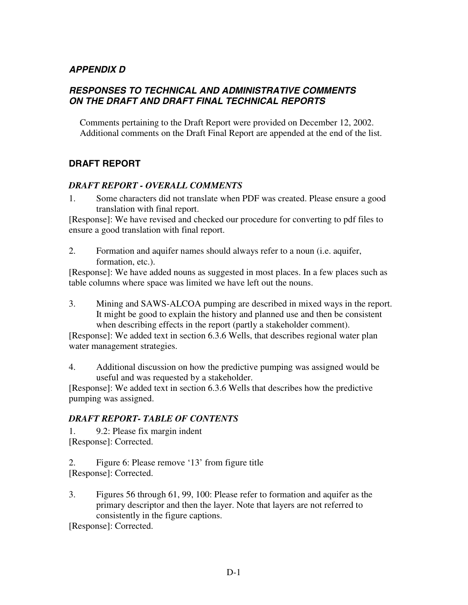# *APPENDIX D*

# *RESPONSES TO TECHNICAL AND ADMINISTRATIVE COMMENTS ON THE DRAFT AND DRAFT FINAL TECHNICAL REPORTS*

Comments pertaining to the Draft Report were provided on December 12, 2002. Additional comments on the Draft Final Report are appended at the end of the list.

# **DRAFT REPORT**

### *DRAFT REPORT - OVERALL COMMENTS*

1. Some characters did not translate when PDF was created. Please ensure a good translation with final report.

[Response]: We have revised and checked our procedure for converting to pdf files to ensure a good translation with final report.

2. Formation and aquifer names should always refer to a noun (i.e. aquifer, formation, etc.).

[Response]: We have added nouns as suggested in most places. In a few places such as table columns where space was limited we have left out the nouns.

3. Mining and SAWS-ALCOA pumping are described in mixed ways in the report. It might be good to explain the history and planned use and then be consistent when describing effects in the report (partly a stakeholder comment).

[Response]: We added text in section 6.3.6 Wells, that describes regional water plan water management strategies.

4. Additional discussion on how the predictive pumping was assigned would be useful and was requested by a stakeholder.

[Response]: We added text in section 6.3.6 Wells that describes how the predictive pumping was assigned.

#### *DRAFT REPORT- TABLE OF CONTENTS*

1. 9.2: Please fix margin indent [Response]: Corrected.

2. Figure 6: Please remove '13' from figure title [Response]: Corrected.

3. Figures 56 through 61, 99, 100: Please refer to formation and aquifer as the primary descriptor and then the layer. Note that layers are not referred to consistently in the figure captions.

[Response]: Corrected.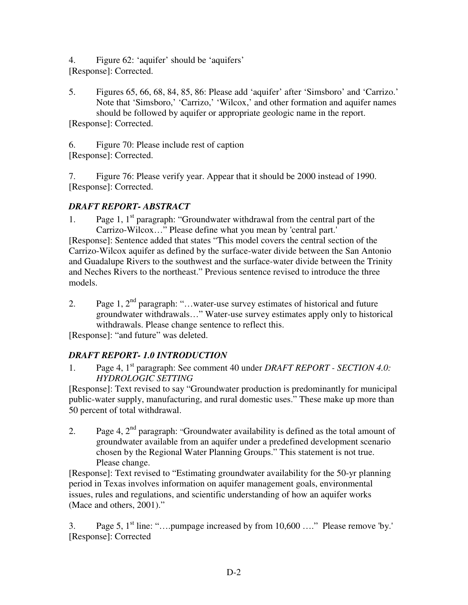4. Figure 62: 'aquifer' should be 'aquifers' [Response]: Corrected.

5. Figures 65, 66, 68, 84, 85, 86: Please add 'aquifer' after 'Simsboro' and 'Carrizo.' Note that 'Simsboro,' 'Carrizo,' 'Wilcox,' and other formation and aquifer names should be followed by aquifer or appropriate geologic name in the report. [Response]: Corrected.

6. Figure 70: Please include rest of caption [Response]: Corrected.

7. Figure 76: Please verify year. Appear that it should be 2000 instead of 1990. [Response]: Corrected.

# *DRAFT REPORT- ABSTRACT*

1. Page 1,  $1^{\text{st}}$  paragraph: "Groundwater withdrawal from the central part of the Carrizo-Wilcox…" Please define what you mean by 'central part.'

[Response]: Sentence added that states "This model covers the central section of the Carrizo-Wilcox aquifer as defined by the surface-water divide between the San Antonio and Guadalupe Rivers to the southwest and the surface-water divide between the Trinity and Neches Rivers to the northeast." Previous sentence revised to introduce the three models.

2. Page 1,  $2^{\text{nd}}$  paragraph: "...water-use survey estimates of historical and future groundwater withdrawals…" Water-use survey estimates apply only to historical withdrawals. Please change sentence to reflect this.

[Response]: "and future" was deleted.

# *DRAFT REPORT- 1.0 INTRODUCTION*

1. Page 4, 1st paragraph: See comment 40 under *DRAFT REPORT - SECTION 4.0: HYDROLOGIC SETTING*

[Response]: Text revised to say "Groundwater production is predominantly for municipal public-water supply, manufacturing, and rural domestic uses." These make up more than 50 percent of total withdrawal.

2. Page 4,  $2<sup>nd</sup>$  paragraph: "Groundwater availability is defined as the total amount of groundwater available from an aquifer under a predefined development scenario chosen by the Regional Water Planning Groups." This statement is not true. Please change.

[Response]: Text revised to "Estimating groundwater availability for the 50-yr planning period in Texas involves information on aquifer management goals, environmental issues, rules and regulations, and scientific understanding of how an aquifer works (Mace and others, 2001)."

3. Page 5,  $1<sup>st</sup>$  line: "....pumpage increased by from  $10,600$  ...." Please remove 'by.' [Response]: Corrected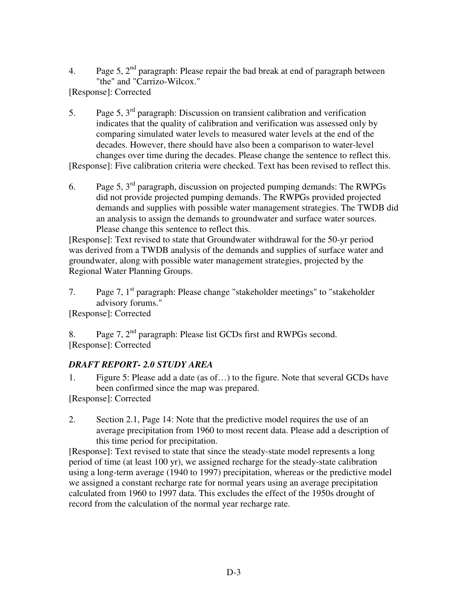4. Page 5,  $2<sup>nd</sup>$  paragraph: Please repair the bad break at end of paragraph between "the" and "Carrizo-Wilcox."

[Response]: Corrected

- 5. Page 5,  $3<sup>rd</sup>$  paragraph: Discussion on transient calibration and verification indicates that the quality of calibration and verification was assessed only by comparing simulated water levels to measured water levels at the end of the decades. However, there should have also been a comparison to water-level changes over time during the decades. Please change the sentence to reflect this. [Response]: Five calibration criteria were checked. Text has been revised to reflect this.
- 6. Page 5,  $3<sup>rd</sup>$  paragraph, discussion on projected pumping demands: The RWPGs did not provide projected pumping demands. The RWPGs provided projected demands and supplies with possible water management strategies. The TWDB did an analysis to assign the demands to groundwater and surface water sources. Please change this sentence to reflect this.

[Response]: Text revised to state that Groundwater withdrawal for the 50-yr period was derived from a TWDB analysis of the demands and supplies of surface water and groundwater, along with possible water management strategies, projected by the Regional Water Planning Groups.

7. Page 7,  $1<sup>st</sup>$  paragraph: Please change "stakeholder meetings" to "stakeholder advisory forums."

[Response]: Corrected

8. Page 7,  $2<sup>nd</sup>$  paragraph: Please list GCDs first and RWPGs second. [Response]: Corrected

# *DRAFT REPORT- 2.0 STUDY AREA*

1. Figure 5: Please add a date (as of…) to the figure. Note that several GCDs have been confirmed since the map was prepared.

[Response]: Corrected

2. Section 2.1, Page 14: Note that the predictive model requires the use of an average precipitation from 1960 to most recent data. Please add a description of this time period for precipitation.

[Response]: Text revised to state that since the steady-state model represents a long period of time (at least 100 yr), we assigned recharge for the steady-state calibration using a long-term average (1940 to 1997) precipitation, whereas or the predictive model we assigned a constant recharge rate for normal years using an average precipitation calculated from 1960 to 1997 data. This excludes the effect of the 1950s drought of record from the calculation of the normal year recharge rate.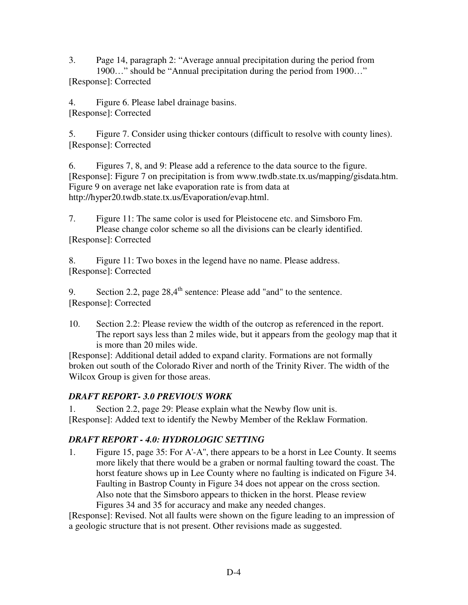3. Page 14, paragraph 2: "Average annual precipitation during the period from 1900…" should be "Annual precipitation during the period from 1900…" [Response]: Corrected

4. Figure 6. Please label drainage basins. [Response]: Corrected

5. Figure 7. Consider using thicker contours (difficult to resolve with county lines). [Response]: Corrected

6. Figures 7, 8, and 9: Please add a reference to the data source to the figure. [Response]: Figure 7 on precipitation is from www.twdb.state.tx.us/mapping/gisdata.htm. Figure 9 on average net lake evaporation rate is from data at http://hyper20.twdb.state.tx.us/Evaporation/evap.html.

7. Figure 11: The same color is used for Pleistocene etc. and Simsboro Fm. Please change color scheme so all the divisions can be clearly identified. [Response]: Corrected

8. Figure 11: Two boxes in the legend have no name. Please address. [Response]: Corrected

9. Section 2.2, page  $28.4<sup>th</sup>$  sentence: Please add "and" to the sentence. [Response]: Corrected

10. Section 2.2: Please review the width of the outcrop as referenced in the report. The report says less than 2 miles wide, but it appears from the geology map that it is more than 20 miles wide.

[Response]: Additional detail added to expand clarity. Formations are not formally broken out south of the Colorado River and north of the Trinity River. The width of the Wilcox Group is given for those areas.

# *DRAFT REPORT- 3.0 PREVIOUS WORK*

1. Section 2.2, page 29: Please explain what the Newby flow unit is. [Response]: Added text to identify the Newby Member of the Reklaw Formation.

# *DRAFT REPORT - 4.0: HYDROLOGIC SETTING*

1. Figure 15, page 35: For A'-A'', there appears to be a horst in Lee County. It seems more likely that there would be a graben or normal faulting toward the coast. The horst feature shows up in Lee County where no faulting is indicated on Figure 34. Faulting in Bastrop County in Figure 34 does not appear on the cross section. Also note that the Simsboro appears to thicken in the horst. Please review Figures 34 and 35 for accuracy and make any needed changes.

[Response]: Revised. Not all faults were shown on the figure leading to an impression of a geologic structure that is not present. Other revisions made as suggested.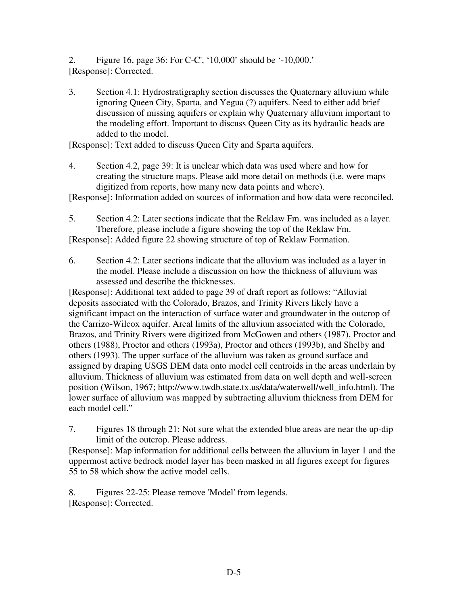2. Figure 16, page 36: For C-C', '10,000' should be '-10,000.' [Response]: Corrected.

3. Section 4.1: Hydrostratigraphy section discusses the Quaternary alluvium while ignoring Queen City, Sparta, and Yegua (?) aquifers. Need to either add brief discussion of missing aquifers or explain why Quaternary alluvium important to the modeling effort. Important to discuss Queen City as its hydraulic heads are added to the model.

[Response]: Text added to discuss Queen City and Sparta aquifers.

4. Section 4.2, page 39: It is unclear which data was used where and how for creating the structure maps. Please add more detail on methods (i.e. were maps digitized from reports, how many new data points and where).

[Response]: Information added on sources of information and how data were reconciled.

- 5. Section 4.2: Later sections indicate that the Reklaw Fm. was included as a layer. Therefore, please include a figure showing the top of the Reklaw Fm. [Response]: Added figure 22 showing structure of top of Reklaw Formation.
- 6. Section 4.2: Later sections indicate that the alluvium was included as a layer in the model. Please include a discussion on how the thickness of alluvium was assessed and describe the thicknesses.

[Response]: Additional text added to page 39 of draft report as follows: "Alluvial deposits associated with the Colorado, Brazos, and Trinity Rivers likely have a significant impact on the interaction of surface water and groundwater in the outcrop of the Carrizo-Wilcox aquifer. Areal limits of the alluvium associated with the Colorado, Brazos, and Trinity Rivers were digitized from McGowen and others (1987), Proctor and others (1988), Proctor and others (1993a), Proctor and others (1993b), and Shelby and others (1993). The upper surface of the alluvium was taken as ground surface and assigned by draping USGS DEM data onto model cell centroids in the areas underlain by alluvium. Thickness of alluvium was estimated from data on well depth and well-screen position (Wilson, 1967; http://www.twdb.state.tx.us/data/waterwell/well\_info.html). The lower surface of alluvium was mapped by subtracting alluvium thickness from DEM for each model cell."

7. Figures 18 through 21: Not sure what the extended blue areas are near the up-dip limit of the outcrop. Please address.

[Response]: Map information for additional cells between the alluvium in layer 1 and the uppermost active bedrock model layer has been masked in all figures except for figures 55 to 58 which show the active model cells.

8. Figures 22-25: Please remove 'Model' from legends. [Response]: Corrected.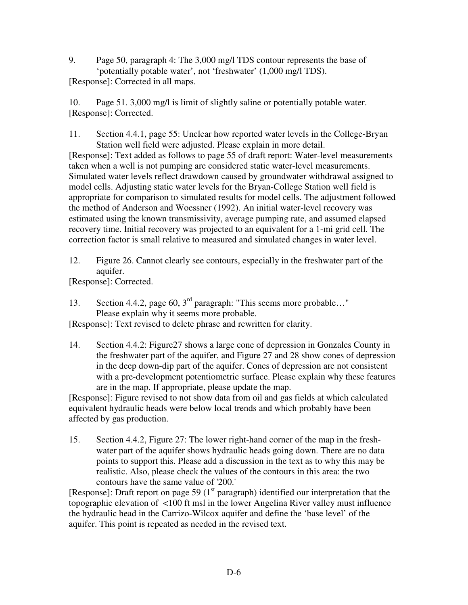9. Page 50, paragraph 4: The 3,000 mg/l TDS contour represents the base of 'potentially potable water', not 'freshwater' (1,000 mg/l TDS). [Response]: Corrected in all maps.

10. Page 51. 3,000 mg/l is limit of slightly saline or potentially potable water. [Response]: Corrected.

11. Section 4.4.1, page 55: Unclear how reported water levels in the College-Bryan Station well field were adjusted. Please explain in more detail.

[Response]: Text added as follows to page 55 of draft report: Water-level measurements taken when a well is not pumping are considered static water-level measurements. Simulated water levels reflect drawdown caused by groundwater withdrawal assigned to model cells. Adjusting static water levels for the Bryan-College Station well field is appropriate for comparison to simulated results for model cells. The adjustment followed the method of Anderson and Woessner (1992). An initial water-level recovery was estimated using the known transmissivity, average pumping rate, and assumed elapsed recovery time. Initial recovery was projected to an equivalent for a 1-mi grid cell. The correction factor is small relative to measured and simulated changes in water level.

12. Figure 26. Cannot clearly see contours, especially in the freshwater part of the aquifer.

[Response]: Corrected.

13. Section 4.4.2, page 60, 3rd paragraph: "This seems more probable…" Please explain why it seems more probable.

[Response]: Text revised to delete phrase and rewritten for clarity.

14. Section 4.4.2: Figure27 shows a large cone of depression in Gonzales County in the freshwater part of the aquifer, and Figure 27 and 28 show cones of depression in the deep down-dip part of the aquifer. Cones of depression are not consistent with a pre-development potentiometric surface. Please explain why these features are in the map. If appropriate, please update the map.

[Response]: Figure revised to not show data from oil and gas fields at which calculated equivalent hydraulic heads were below local trends and which probably have been affected by gas production.

15. Section 4.4.2, Figure 27: The lower right-hand corner of the map in the freshwater part of the aquifer shows hydraulic heads going down. There are no data points to support this. Please add a discussion in the text as to why this may be realistic. Also, please check the values of the contours in this area: the two contours have the same value of '200.'

[Response]: Draft report on page 59 ( $1<sup>st</sup>$  paragraph) identified our interpretation that the topographic elevation of <100 ft msl in the lower Angelina River valley must influence the hydraulic head in the Carrizo-Wilcox aquifer and define the 'base level' of the aquifer. This point is repeated as needed in the revised text.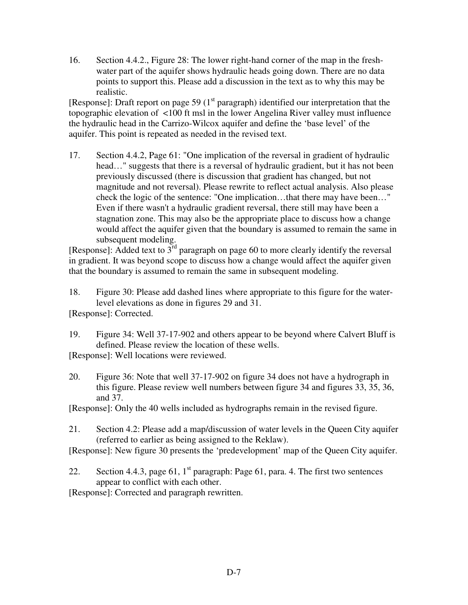16. Section 4.4.2., Figure 28: The lower right-hand corner of the map in the freshwater part of the aquifer shows hydraulic heads going down. There are no data points to support this. Please add a discussion in the text as to why this may be realistic.

[Response]: Draft report on page 59 ( $1<sup>st</sup>$  paragraph) identified our interpretation that the topographic elevation of <100 ft msl in the lower Angelina River valley must influence the hydraulic head in the Carrizo-Wilcox aquifer and define the 'base level' of the aquifer. This point is repeated as needed in the revised text.

17. Section 4.4.2, Page 61: "One implication of the reversal in gradient of hydraulic head…" suggests that there is a reversal of hydraulic gradient, but it has not been previously discussed (there is discussion that gradient has changed, but not magnitude and not reversal). Please rewrite to reflect actual analysis. Also please check the logic of the sentence: "One implication…that there may have been…" Even if there wasn't a hydraulic gradient reversal, there still may have been a stagnation zone. This may also be the appropriate place to discuss how a change would affect the aquifer given that the boundary is assumed to remain the same in subsequent modeling.

[Response]: Added text to  $3<sup>rd</sup>$  paragraph on page 60 to more clearly identify the reversal in gradient. It was beyond scope to discuss how a change would affect the aquifer given that the boundary is assumed to remain the same in subsequent modeling.

18. Figure 30: Please add dashed lines where appropriate to this figure for the waterlevel elevations as done in figures 29 and 31.

[Response]: Corrected.

- 19. Figure 34: Well 37-17-902 and others appear to be beyond where Calvert Bluff is defined. Please review the location of these wells.
- [Response]: Well locations were reviewed.
- 20. Figure 36: Note that well 37-17-902 on figure 34 does not have a hydrograph in this figure. Please review well numbers between figure 34 and figures 33, 35, 36, and 37.

[Response]: Only the 40 wells included as hydrographs remain in the revised figure.

21. Section 4.2: Please add a map/discussion of water levels in the Queen City aquifer (referred to earlier as being assigned to the Reklaw).

[Response]: New figure 30 presents the 'predevelopment' map of the Queen City aquifer.

22. Section 4.4.3, page 61,  $1<sup>st</sup>$  paragraph: Page 61, para. 4. The first two sentences appear to conflict with each other.

[Response]: Corrected and paragraph rewritten.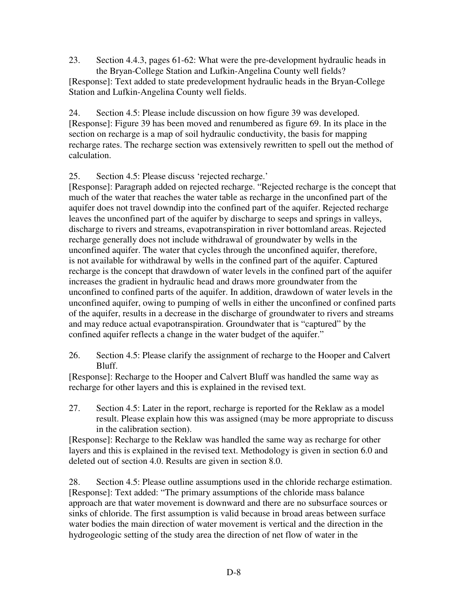23. Section 4.4.3, pages 61-62: What were the pre-development hydraulic heads in the Bryan-College Station and Lufkin-Angelina County well fields? [Response]: Text added to state predevelopment hydraulic heads in the Bryan-College Station and Lufkin-Angelina County well fields.

24. Section 4.5: Please include discussion on how figure 39 was developed. [Response]: Figure 39 has been moved and renumbered as figure 69. In its place in the section on recharge is a map of soil hydraulic conductivity, the basis for mapping recharge rates. The recharge section was extensively rewritten to spell out the method of calculation.

25. Section 4.5: Please discuss 'rejected recharge.'

[Response]: Paragraph added on rejected recharge. "Rejected recharge is the concept that much of the water that reaches the water table as recharge in the unconfined part of the aquifer does not travel downdip into the confined part of the aquifer. Rejected recharge leaves the unconfined part of the aquifer by discharge to seeps and springs in valleys, discharge to rivers and streams, evapotranspiration in river bottomland areas. Rejected recharge generally does not include withdrawal of groundwater by wells in the unconfined aquifer. The water that cycles through the unconfined aquifer, therefore, is not available for withdrawal by wells in the confined part of the aquifer. Captured recharge is the concept that drawdown of water levels in the confined part of the aquifer increases the gradient in hydraulic head and draws more groundwater from the unconfined to confined parts of the aquifer. In addition, drawdown of water levels in the unconfined aquifer, owing to pumping of wells in either the unconfined or confined parts of the aquifer, results in a decrease in the discharge of groundwater to rivers and streams and may reduce actual evapotranspiration. Groundwater that is "captured" by the confined aquifer reflects a change in the water budget of the aquifer."

26. Section 4.5: Please clarify the assignment of recharge to the Hooper and Calvert Bluff.

[Response]: Recharge to the Hooper and Calvert Bluff was handled the same way as recharge for other layers and this is explained in the revised text.

27. Section 4.5: Later in the report, recharge is reported for the Reklaw as a model result. Please explain how this was assigned (may be more appropriate to discuss in the calibration section).

[Response]: Recharge to the Reklaw was handled the same way as recharge for other layers and this is explained in the revised text. Methodology is given in section 6.0 and deleted out of section 4.0. Results are given in section 8.0.

28. Section 4.5: Please outline assumptions used in the chloride recharge estimation. [Response]: Text added: "The primary assumptions of the chloride mass balance approach are that water movement is downward and there are no subsurface sources or sinks of chloride. The first assumption is valid because in broad areas between surface water bodies the main direction of water movement is vertical and the direction in the hydrogeologic setting of the study area the direction of net flow of water in the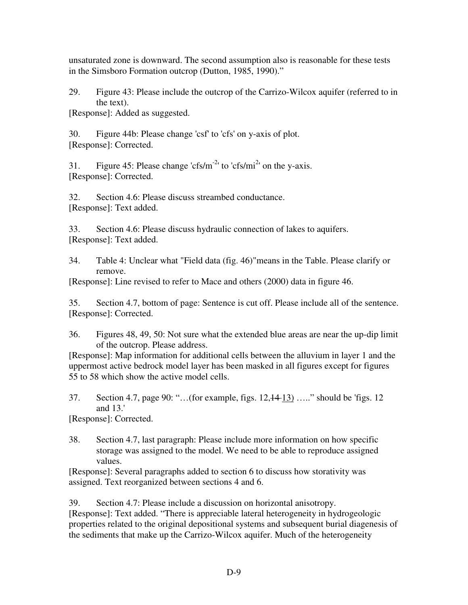unsaturated zone is downward. The second assumption also is reasonable for these tests in the Simsboro Formation outcrop (Dutton, 1985, 1990)."

29. Figure 43: Please include the outcrop of the Carrizo-Wilcox aquifer (referred to in the text).

[Response]: Added as suggested.

30. Figure 44b: Please change 'csf' to 'cfs' on y-axis of plot. [Response]: Corrected.

31. Figure 45: Please change 'cfs/m<sup>-2</sup>' to 'cfs/mi<sup>2</sup>' on the y-axis. [Response]: Corrected.

32. Section 4.6: Please discuss streambed conductance. [Response]: Text added.

33. Section 4.6: Please discuss hydraulic connection of lakes to aquifers. [Response]: Text added.

34. Table 4: Unclear what "Field data (fig. 46)"means in the Table. Please clarify or remove.

[Response]: Line revised to refer to Mace and others (2000) data in figure 46.

35. Section 4.7, bottom of page: Sentence is cut off. Please include all of the sentence. [Response]: Corrected.

36. Figures 48, 49, 50: Not sure what the extended blue areas are near the up-dip limit of the outcrop. Please address.

[Response]: Map information for additional cells between the alluvium in layer 1 and the uppermost active bedrock model layer has been masked in all figures except for figures 55 to 58 which show the active model cells.

37. Section 4.7, page 90: "…(for example, figs. 12,14 13) ….." should be 'figs. 12 and 13.'

[Response]: Corrected.

38. Section 4.7, last paragraph: Please include more information on how specific storage was assigned to the model. We need to be able to reproduce assigned values.

[Response]: Several paragraphs added to section 6 to discuss how storativity was assigned. Text reorganized between sections 4 and 6.

39. Section 4.7: Please include a discussion on horizontal anisotropy.

[Response]: Text added. "There is appreciable lateral heterogeneity in hydrogeologic properties related to the original depositional systems and subsequent burial diagenesis of the sediments that make up the Carrizo-Wilcox aquifer. Much of the heterogeneity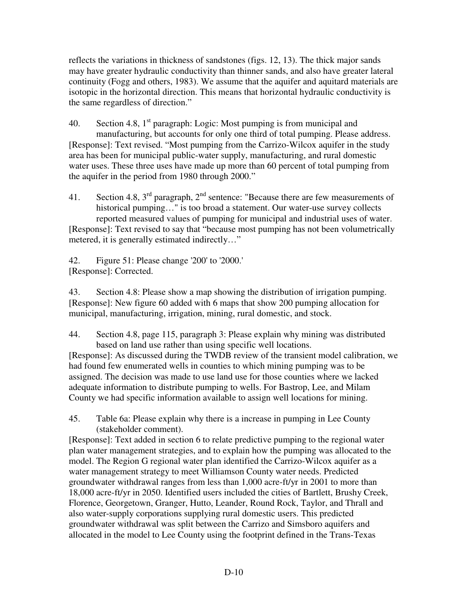reflects the variations in thickness of sandstones (figs. 12, 13). The thick major sands may have greater hydraulic conductivity than thinner sands, and also have greater lateral continuity (Fogg and others, 1983). We assume that the aquifer and aquitard materials are isotopic in the horizontal direction. This means that horizontal hydraulic conductivity is the same regardless of direction."

40. Section 4.8,  $1<sup>st</sup>$  paragraph: Logic: Most pumping is from municipal and manufacturing, but accounts for only one third of total pumping. Please address. [Response]: Text revised. "Most pumping from the Carrizo-Wilcox aquifer in the study area has been for municipal public-water supply, manufacturing, and rural domestic water uses. These three uses have made up more than 60 percent of total pumping from the aquifer in the period from 1980 through 2000."

41. Section 4.8,  $3<sup>rd</sup>$  paragraph,  $2<sup>nd</sup>$  sentence: "Because there are few measurements of historical pumping..." is too broad a statement. Our water-use survey collects reported measured values of pumping for municipal and industrial uses of water.

[Response]: Text revised to say that "because most pumping has not been volumetrically metered, it is generally estimated indirectly…"

42. Figure 51: Please change '200' to '2000.' [Response]: Corrected.

43. Section 4.8: Please show a map showing the distribution of irrigation pumping. [Response]: New figure 60 added with 6 maps that show 200 pumping allocation for municipal, manufacturing, irrigation, mining, rural domestic, and stock.

44. Section 4.8, page 115, paragraph 3: Please explain why mining was distributed based on land use rather than using specific well locations.

[Response]: As discussed during the TWDB review of the transient model calibration, we had found few enumerated wells in counties to which mining pumping was to be assigned. The decision was made to use land use for those counties where we lacked adequate information to distribute pumping to wells. For Bastrop, Lee, and Milam County we had specific information available to assign well locations for mining.

45. Table 6a: Please explain why there is a increase in pumping in Lee County (stakeholder comment).

[Response]: Text added in section 6 to relate predictive pumping to the regional water plan water management strategies, and to explain how the pumping was allocated to the model. The Region G regional water plan identified the Carrizo-Wilcox aquifer as a water management strategy to meet Williamson County water needs. Predicted groundwater withdrawal ranges from less than 1,000 acre-ft/yr in 2001 to more than 18,000 acre-ft/yr in 2050. Identified users included the cities of Bartlett, Brushy Creek, Florence, Georgetown, Granger, Hutto, Leander, Round Rock, Taylor, and Thrall and also water-supply corporations supplying rural domestic users. This predicted groundwater withdrawal was split between the Carrizo and Simsboro aquifers and allocated in the model to Lee County using the footprint defined in the Trans-Texas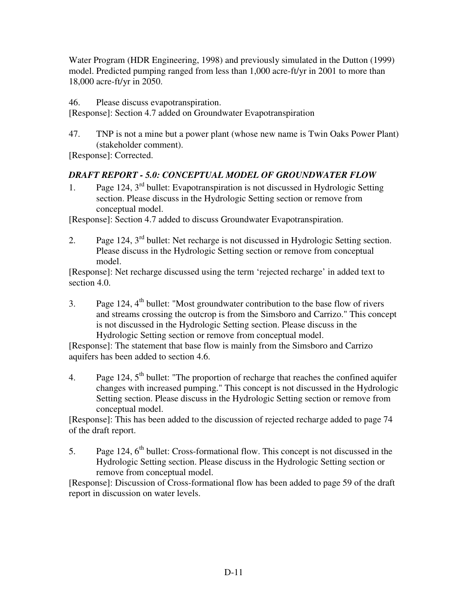Water Program (HDR Engineering, 1998) and previously simulated in the Dutton (1999) model. Predicted pumping ranged from less than 1,000 acre-ft/yr in 2001 to more than 18,000 acre-ft/yr in 2050.

46. Please discuss evapotranspiration.

[Response]: Section 4.7 added on Groundwater Evapotranspiration

47. TNP is not a mine but a power plant (whose new name is Twin Oaks Power Plant) (stakeholder comment).

[Response]: Corrected.

# *DRAFT REPORT - 5.0: CONCEPTUAL MODEL OF GROUNDWATER FLOW*

1. Page 124, 3rd bullet: Evapotranspiration is not discussed in Hydrologic Setting section. Please discuss in the Hydrologic Setting section or remove from conceptual model.

[Response]: Section 4.7 added to discuss Groundwater Evapotranspiration.

2. Page 124,  $3<sup>rd</sup>$  bullet: Net recharge is not discussed in Hydrologic Setting section. Please discuss in the Hydrologic Setting section or remove from conceptual model.

[Response]: Net recharge discussed using the term 'rejected recharge' in added text to section 4.0.

3. Page 124,  $4<sup>th</sup>$  bullet: "Most groundwater contribution to the base flow of rivers and streams crossing the outcrop is from the Simsboro and Carrizo." This concept is not discussed in the Hydrologic Setting section. Please discuss in the Hydrologic Setting section or remove from conceptual model.

[Response]: The statement that base flow is mainly from the Simsboro and Carrizo aquifers has been added to section 4.6.

4. Page 124,  $5<sup>th</sup>$  bullet: "The proportion of recharge that reaches the confined aquifer changes with increased pumping." This concept is not discussed in the Hydrologic Setting section. Please discuss in the Hydrologic Setting section or remove from conceptual model.

[Response]: This has been added to the discussion of rejected recharge added to page 74 of the draft report.

5. Page 124,  $6<sup>th</sup>$  bullet: Cross-formational flow. This concept is not discussed in the Hydrologic Setting section. Please discuss in the Hydrologic Setting section or remove from conceptual model.

[Response]: Discussion of Cross-formational flow has been added to page 59 of the draft report in discussion on water levels.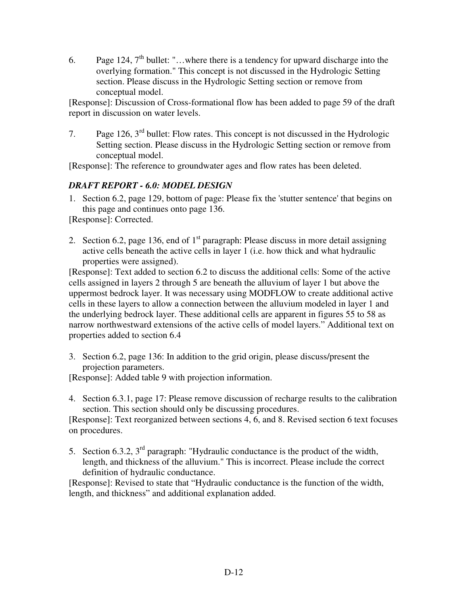6. Page 124,  $7<sup>th</sup>$  bullet: "...where there is a tendency for upward discharge into the overlying formation." This concept is not discussed in the Hydrologic Setting section. Please discuss in the Hydrologic Setting section or remove from conceptual model.

[Response]: Discussion of Cross-formational flow has been added to page 59 of the draft report in discussion on water levels.

7. Page 126,  $3<sup>rd</sup>$  bullet: Flow rates. This concept is not discussed in the Hydrologic Setting section. Please discuss in the Hydrologic Setting section or remove from conceptual model.

[Response]: The reference to groundwater ages and flow rates has been deleted.

# *DRAFT REPORT - 6.0: MODEL DESIGN*

1. Section 6.2, page 129, bottom of page: Please fix the 'stutter sentence' that begins on this page and continues onto page 136.

[Response]: Corrected.

2. Section 6.2, page 136, end of  $1<sup>st</sup>$  paragraph: Please discuss in more detail assigning active cells beneath the active cells in layer 1 (i.e. how thick and what hydraulic properties were assigned).

[Response]: Text added to section 6.2 to discuss the additional cells: Some of the active cells assigned in layers 2 through 5 are beneath the alluvium of layer 1 but above the uppermost bedrock layer. It was necessary using MODFLOW to create additional active cells in these layers to allow a connection between the alluvium modeled in layer 1 and the underlying bedrock layer. These additional cells are apparent in figures 55 to 58 as narrow northwestward extensions of the active cells of model layers." Additional text on properties added to section 6.4

3. Section 6.2, page 136: In addition to the grid origin, please discuss/present the projection parameters.

[Response]: Added table 9 with projection information.

4. Section 6.3.1, page 17: Please remove discussion of recharge results to the calibration section. This section should only be discussing procedures.

[Response]: Text reorganized between sections 4, 6, and 8. Revised section 6 text focuses on procedures.

5. Section 6.3.2, 3rd paragraph: "Hydraulic conductance is the product of the width, length, and thickness of the alluvium." This is incorrect. Please include the correct definition of hydraulic conductance.

[Response]: Revised to state that "Hydraulic conductance is the function of the width, length, and thickness" and additional explanation added.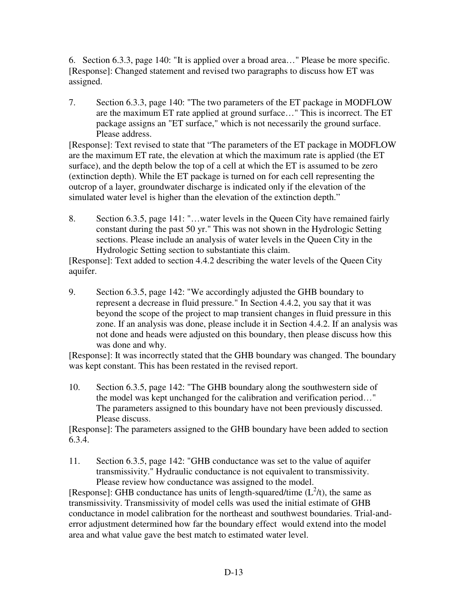6. Section 6.3.3, page 140: "It is applied over a broad area…" Please be more specific. [Response]: Changed statement and revised two paragraphs to discuss how ET was assigned.

7. Section 6.3.3, page 140: "The two parameters of the ET package in MODFLOW are the maximum ET rate applied at ground surface…" This is incorrect. The ET package assigns an "ET surface," which is not necessarily the ground surface. Please address.

[Response]: Text revised to state that "The parameters of the ET package in MODFLOW are the maximum ET rate, the elevation at which the maximum rate is applied (the ET surface), and the depth below the top of a cell at which the ET is assumed to be zero (extinction depth). While the ET package is turned on for each cell representing the outcrop of a layer, groundwater discharge is indicated only if the elevation of the simulated water level is higher than the elevation of the extinction depth."

8. Section 6.3.5, page 141: "…water levels in the Queen City have remained fairly constant during the past 50 yr." This was not shown in the Hydrologic Setting sections. Please include an analysis of water levels in the Queen City in the Hydrologic Setting section to substantiate this claim.

[Response]: Text added to section 4.4.2 describing the water levels of the Queen City aquifer.

9. Section 6.3.5, page 142: "We accordingly adjusted the GHB boundary to represent a decrease in fluid pressure." In Section 4.4.2, you say that it was beyond the scope of the project to map transient changes in fluid pressure in this zone. If an analysis was done, please include it in Section 4.4.2. If an analysis was not done and heads were adjusted on this boundary, then please discuss how this was done and why.

[Response]: It was incorrectly stated that the GHB boundary was changed. The boundary was kept constant. This has been restated in the revised report.

10. Section 6.3.5, page 142: "The GHB boundary along the southwestern side of the model was kept unchanged for the calibration and verification period…" The parameters assigned to this boundary have not been previously discussed. Please discuss.

[Response]: The parameters assigned to the GHB boundary have been added to section 6.3.4.

11. Section 6.3.5, page 142: "GHB conductance was set to the value of aquifer transmissivity." Hydraulic conductance is not equivalent to transmissivity. Please review how conductance was assigned to the model.

[Response]: GHB conductance has units of length-squared/time  $(L^2/t)$ , the same as transmissivity. Transmissivity of model cells was used the initial estimate of GHB conductance in model calibration for the northeast and southwest boundaries. Trial-anderror adjustment determined how far the boundary effect would extend into the model area and what value gave the best match to estimated water level.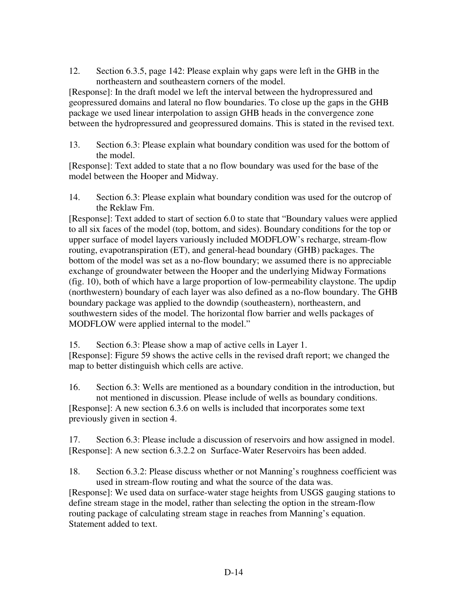12. Section 6.3.5, page 142: Please explain why gaps were left in the GHB in the northeastern and southeastern corners of the model.

[Response]: In the draft model we left the interval between the hydropressured and geopressured domains and lateral no flow boundaries. To close up the gaps in the GHB package we used linear interpolation to assign GHB heads in the convergence zone between the hydropressured and geopressured domains. This is stated in the revised text.

13. Section 6.3: Please explain what boundary condition was used for the bottom of the model.

[Response]: Text added to state that a no flow boundary was used for the base of the model between the Hooper and Midway.

14. Section 6.3: Please explain what boundary condition was used for the outcrop of the Reklaw Fm.

[Response]: Text added to start of section 6.0 to state that "Boundary values were applied to all six faces of the model (top, bottom, and sides). Boundary conditions for the top or upper surface of model layers variously included MODFLOW's recharge, stream-flow routing, evapotranspiration (ET), and general-head boundary (GHB) packages. The bottom of the model was set as a no-flow boundary; we assumed there is no appreciable exchange of groundwater between the Hooper and the underlying Midway Formations (fig. 10), both of which have a large proportion of low-permeability claystone. The updip (northwestern) boundary of each layer was also defined as a no-flow boundary. The GHB boundary package was applied to the downdip (southeastern), northeastern, and southwestern sides of the model. The horizontal flow barrier and wells packages of MODFLOW were applied internal to the model."

15. Section 6.3: Please show a map of active cells in Layer 1.

[Response]: Figure 59 shows the active cells in the revised draft report; we changed the map to better distinguish which cells are active.

16. Section 6.3: Wells are mentioned as a boundary condition in the introduction, but not mentioned in discussion. Please include of wells as boundary conditions. [Response]: A new section 6.3.6 on wells is included that incorporates some text previously given in section 4.

17. Section 6.3: Please include a discussion of reservoirs and how assigned in model. [Response]: A new section 6.3.2.2 on Surface-Water Reservoirs has been added.

18. Section 6.3.2: Please discuss whether or not Manning's roughness coefficient was used in stream-flow routing and what the source of the data was.

[Response]: We used data on surface-water stage heights from USGS gauging stations to define stream stage in the model, rather than selecting the option in the stream-flow routing package of calculating stream stage in reaches from Manning's equation. Statement added to text.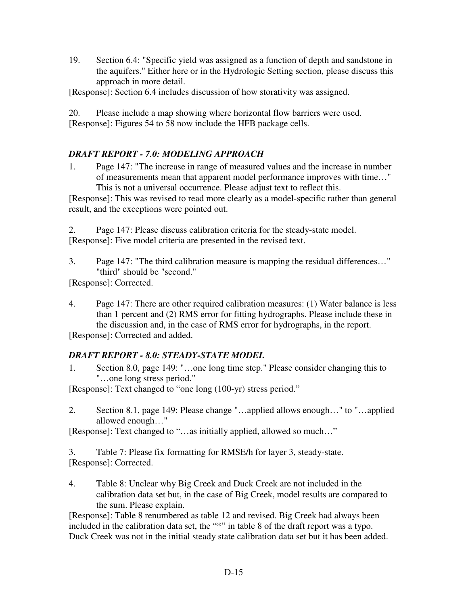19. Section 6.4: "Specific yield was assigned as a function of depth and sandstone in the aquifers." Either here or in the Hydrologic Setting section, please discuss this approach in more detail.

[Response]: Section 6.4 includes discussion of how storativity was assigned.

20. Please include a map showing where horizontal flow barriers were used. [Response]: Figures 54 to 58 now include the HFB package cells.

# *DRAFT REPORT - 7.0: MODELING APPROACH*

1. Page 147: "The increase in range of measured values and the increase in number of measurements mean that apparent model performance improves with time…" This is not a universal occurrence. Please adjust text to reflect this.

[Response]: This was revised to read more clearly as a model-specific rather than general result, and the exceptions were pointed out.

2. Page 147: Please discuss calibration criteria for the steady-state model. [Response]: Five model criteria are presented in the revised text.

3. Page 147: "The third calibration measure is mapping the residual differences…" "third" should be "second."

[Response]: Corrected.

4. Page 147: There are other required calibration measures: (1) Water balance is less than 1 percent and (2) RMS error for fitting hydrographs. Please include these in the discussion and, in the case of RMS error for hydrographs, in the report.

[Response]: Corrected and added.

# *DRAFT REPORT - 8.0: STEADY-STATE MODEL*

1. Section 8.0, page 149: "…one long time step." Please consider changing this to "…one long stress period."

[Response]: Text changed to "one long (100-yr) stress period."

2. Section 8.1, page 149: Please change "…applied allows enough…" to "…applied allowed enough…"

[Response]: Text changed to "…as initially applied, allowed so much…"

3. Table 7: Please fix formatting for RMSE/h for layer 3, steady-state. [Response]: Corrected.

4. Table 8: Unclear why Big Creek and Duck Creek are not included in the calibration data set but, in the case of Big Creek, model results are compared to the sum. Please explain.

[Response]: Table 8 renumbered as table 12 and revised. Big Creek had always been included in the calibration data set, the "\*" in table 8 of the draft report was a typo. Duck Creek was not in the initial steady state calibration data set but it has been added.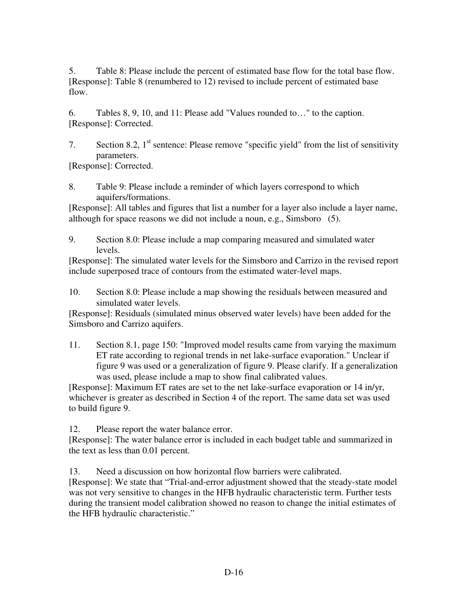5. Table 8: Please include the percent of estimated base flow for the total base flow. [Response]: Table 8 (renumbered to 12) revised to include percent of estimated base flow.

6. Tables 8, 9, 10, and 11: Please add "Values rounded to…" to the caption. [Response]: Corrected.

7. Section 8.2,  $1<sup>st</sup>$  sentence: Please remove "specific yield" from the list of sensitivity parameters.

[Response]: Corrected.

8. Table 9: Please include a reminder of which layers correspond to which aquifers/formations.

[Response]: All tables and figures that list a number for a layer also include a layer name, although for space reasons we did not include a noun, e.g., Simsboro (5).

9. Section 8.0: Please include a map comparing measured and simulated water levels.

[Response]: The simulated water levels for the Simsboro and Carrizo in the revised report include superposed trace of contours from the estimated water-level maps.

10. Section 8.0: Please include a map showing the residuals between measured and simulated water levels.

[Response]: Residuals (simulated minus observed water levels) have been added for the Simsboro and Carrizo aquifers.

11. Section 8.1, page 150: "Improved model results came from varying the maximum ET rate according to regional trends in net lake-surface evaporation." Unclear if figure 9 was used or a generalization of figure 9. Please clarify. If a generalization was used, please include a map to show final calibrated values.

[Response]: Maximum ET rates are set to the net lake-surface evaporation or 14 in/yr, whichever is greater as described in Section 4 of the report. The same data set was used to build figure 9.

12. Please report the water balance error.

[Response]: The water balance error is included in each budget table and summarized in the text as less than 0.01 percent.

13. Need a discussion on how horizontal flow barriers were calibrated. [Response]: We state that "Trial-and-error adjustment showed that the steady-state model was not very sensitive to changes in the HFB hydraulic characteristic term. Further tests during the transient model calibration showed no reason to change the initial estimates of the HFB hydraulic characteristic."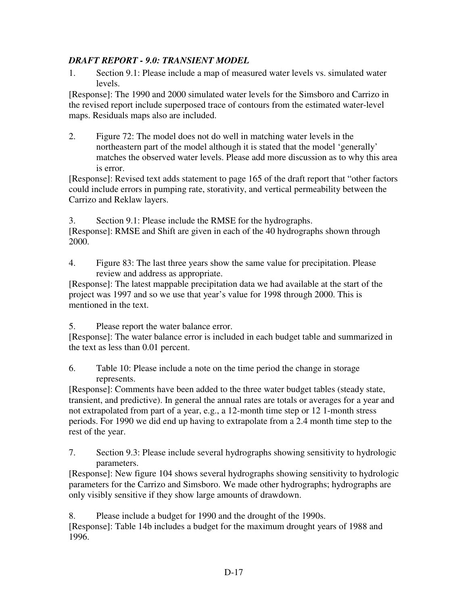# *DRAFT REPORT - 9.0: TRANSIENT MODEL*

1. Section 9.1: Please include a map of measured water levels vs. simulated water levels.

[Response]: The 1990 and 2000 simulated water levels for the Simsboro and Carrizo in the revised report include superposed trace of contours from the estimated water-level maps. Residuals maps also are included.

2. Figure 72: The model does not do well in matching water levels in the northeastern part of the model although it is stated that the model 'generally' matches the observed water levels. Please add more discussion as to why this area is error.

[Response]: Revised text adds statement to page 165 of the draft report that "other factors could include errors in pumping rate, storativity, and vertical permeability between the Carrizo and Reklaw layers.

3. Section 9.1: Please include the RMSE for the hydrographs. [Response]: RMSE and Shift are given in each of the 40 hydrographs shown through 2000.

4. Figure 83: The last three years show the same value for precipitation. Please review and address as appropriate.

[Response]: The latest mappable precipitation data we had available at the start of the project was 1997 and so we use that year's value for 1998 through 2000. This is mentioned in the text.

5. Please report the water balance error.

[Response]: The water balance error is included in each budget table and summarized in the text as less than 0.01 percent.

6. Table 10: Please include a note on the time period the change in storage represents.

[Response]: Comments have been added to the three water budget tables (steady state, transient, and predictive). In general the annual rates are totals or averages for a year and not extrapolated from part of a year, e.g., a 12-month time step or 12 1-month stress periods. For 1990 we did end up having to extrapolate from a 2.4 month time step to the rest of the year.

7. Section 9.3: Please include several hydrographs showing sensitivity to hydrologic parameters.

[Response]: New figure 104 shows several hydrographs showing sensitivity to hydrologic parameters for the Carrizo and Simsboro. We made other hydrographs; hydrographs are only visibly sensitive if they show large amounts of drawdown.

8. Please include a budget for 1990 and the drought of the 1990s. [Response]: Table 14b includes a budget for the maximum drought years of 1988 and 1996.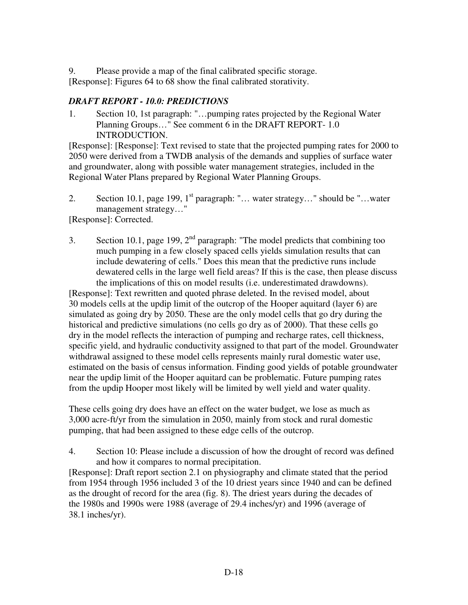9. Please provide a map of the final calibrated specific storage.

[Response]: Figures 64 to 68 show the final calibrated storativity.

# *DRAFT REPORT - 10.0: PREDICTIONS*

1. Section 10, 1st paragraph: "…pumping rates projected by the Regional Water Planning Groups…" See comment 6 in the DRAFT REPORT- 1.0 INTRODUCTION.

[Response]: [Response]: Text revised to state that the projected pumping rates for 2000 to 2050 were derived from a TWDB analysis of the demands and supplies of surface water and groundwater, along with possible water management strategies, included in the Regional Water Plans prepared by Regional Water Planning Groups.

2. Section 10.1, page 199,  $1<sup>st</sup>$  paragraph: "... water strategy..." should be "...water management strategy…"

[Response]: Corrected.

3. Section 10.1, page 199,  $2<sup>nd</sup>$  paragraph: "The model predicts that combining too much pumping in a few closely spaced cells yields simulation results that can include dewatering of cells." Does this mean that the predictive runs include dewatered cells in the large well field areas? If this is the case, then please discuss the implications of this on model results (i.e. underestimated drawdowns).

[Response]: Text rewritten and quoted phrase deleted. In the revised model, about 30 models cells at the updip limit of the outcrop of the Hooper aquitard (layer 6) are simulated as going dry by 2050. These are the only model cells that go dry during the historical and predictive simulations (no cells go dry as of 2000). That these cells go dry in the model reflects the interaction of pumping and recharge rates, cell thickness, specific yield, and hydraulic conductivity assigned to that part of the model. Groundwater withdrawal assigned to these model cells represents mainly rural domestic water use, estimated on the basis of census information. Finding good yields of potable groundwater near the updip limit of the Hooper aquitard can be problematic. Future pumping rates from the updip Hooper most likely will be limited by well yield and water quality.

These cells going dry does have an effect on the water budget, we lose as much as 3,000 acre-ft/yr from the simulation in 2050, mainly from stock and rural domestic pumping, that had been assigned to these edge cells of the outcrop.

4. Section 10: Please include a discussion of how the drought of record was defined and how it compares to normal precipitation.

[Response]: Draft report section 2.1 on physiography and climate stated that the period from 1954 through 1956 included 3 of the 10 driest years since 1940 and can be defined as the drought of record for the area (fig. 8). The driest years during the decades of the 1980s and 1990s were 1988 (average of 29.4 inches/yr) and 1996 (average of 38.1 inches/yr).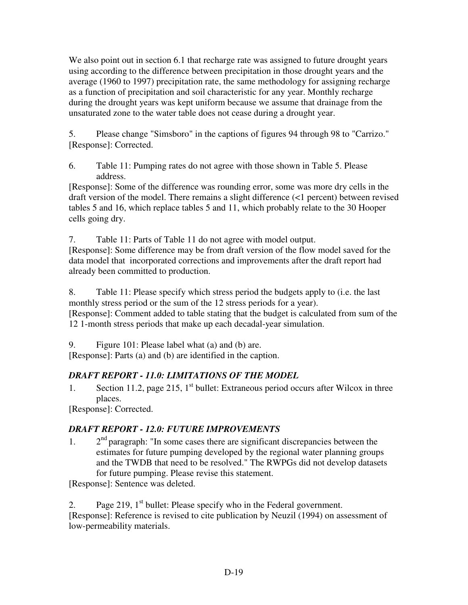We also point out in section 6.1 that recharge rate was assigned to future drought years using according to the difference between precipitation in those drought years and the average (1960 to 1997) precipitation rate, the same methodology for assigning recharge as a function of precipitation and soil characteristic for any year. Monthly recharge during the drought years was kept uniform because we assume that drainage from the unsaturated zone to the water table does not cease during a drought year.

5. Please change "Simsboro" in the captions of figures 94 through 98 to "Carrizo." [Response]: Corrected.

6. Table 11: Pumping rates do not agree with those shown in Table 5. Please address.

[Response]: Some of the difference was rounding error, some was more dry cells in the draft version of the model. There remains a slight difference (<1 percent) between revised tables 5 and 16, which replace tables 5 and 11, which probably relate to the 30 Hooper cells going dry.

7. Table 11: Parts of Table 11 do not agree with model output.

[Response]: Some difference may be from draft version of the flow model saved for the data model that incorporated corrections and improvements after the draft report had already been committed to production.

8. Table 11: Please specify which stress period the budgets apply to (i.e. the last monthly stress period or the sum of the 12 stress periods for a year). [Response]: Comment added to table stating that the budget is calculated from sum of the 12 1-month stress periods that make up each decadal-year simulation.

9. Figure 101: Please label what (a) and (b) are.

[Response]: Parts (a) and (b) are identified in the caption.

# *DRAFT REPORT - 11.0: LIMITATIONS OF THE MODEL*

1. Section 11.2, page 215,  $1<sup>st</sup>$  bullet: Extraneous period occurs after Wilcox in three places.

[Response]: Corrected.

# *DRAFT REPORT - 12.0: FUTURE IMPROVEMENTS*

1.  $2<sup>nd</sup>$  paragraph: "In some cases there are significant discrepancies between the estimates for future pumping developed by the regional water planning groups and the TWDB that need to be resolved." The RWPGs did not develop datasets for future pumping. Please revise this statement.

[Response]: Sentence was deleted.

2. Page 219,  $1<sup>st</sup>$  bullet: Please specify who in the Federal government. [Response]: Reference is revised to cite publication by Neuzil (1994) on assessment of low-permeability materials.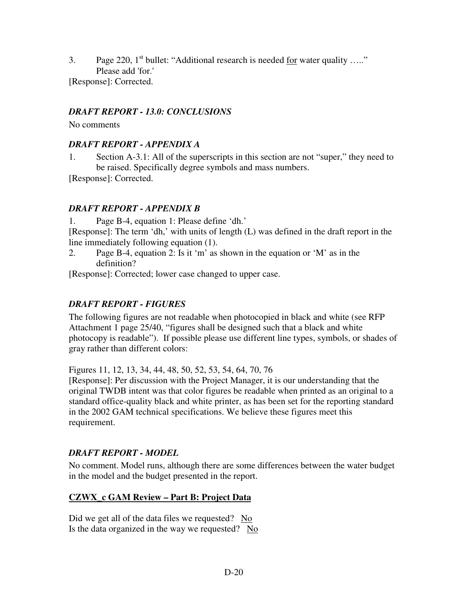3. Page 220,  $1<sup>st</sup>$  bullet: "Additional research is needed for water quality ....." Please add 'for.' [Response]: Corrected.

# *DRAFT REPORT - 13.0: CONCLUSIONS*

No comments

# *DRAFT REPORT - APPENDIX A*

1. Section A-3.1: All of the superscripts in this section are not "super," they need to be raised. Specifically degree symbols and mass numbers.

[Response]: Corrected.

# *DRAFT REPORT - APPENDIX B*

1. Page B-4, equation 1: Please define 'dh.'

[Response]: The term 'dh,' with units of length (L) was defined in the draft report in the line immediately following equation (1).

2. Page B-4, equation 2: Is it 'm' as shown in the equation or 'M' as in the definition?

[Response]: Corrected; lower case changed to upper case.

# *DRAFT REPORT - FIGURES*

The following figures are not readable when photocopied in black and white (see RFP Attachment 1 page 25/40, "figures shall be designed such that a black and white photocopy is readable"). If possible please use different line types, symbols, or shades of gray rather than different colors:

Figures 11, 12, 13, 34, 44, 48, 50, 52, 53, 54, 64, 70, 76

[Response]: Per discussion with the Project Manager, it is our understanding that the original TWDB intent was that color figures be readable when printed as an original to a standard office-quality black and white printer, as has been set for the reporting standard in the 2002 GAM technical specifications. We believe these figures meet this requirement.

# *DRAFT REPORT - MODEL*

No comment. Model runs, although there are some differences between the water budget in the model and the budget presented in the report.

# **CZWX\_c GAM Review – Part B: Project Data**

Did we get all of the data files we requested? No Is the data organized in the way we requested? No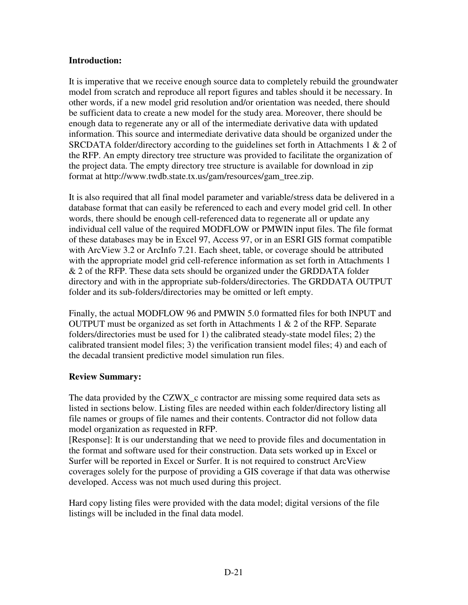### **Introduction:**

It is imperative that we receive enough source data to completely rebuild the groundwater model from scratch and reproduce all report figures and tables should it be necessary. In other words, if a new model grid resolution and/or orientation was needed, there should be sufficient data to create a new model for the study area. Moreover, there should be enough data to regenerate any or all of the intermediate derivative data with updated information. This source and intermediate derivative data should be organized under the SRCDATA folder/directory according to the guidelines set forth in Attachments 1 & 2 of the RFP. An empty directory tree structure was provided to facilitate the organization of the project data. The empty directory tree structure is available for download in zip format at http://www.twdb.state.tx.us/gam/resources/gam\_tree.zip.

It is also required that all final model parameter and variable/stress data be delivered in a database format that can easily be referenced to each and every model grid cell. In other words, there should be enough cell-referenced data to regenerate all or update any individual cell value of the required MODFLOW or PMWIN input files. The file format of these databases may be in Excel 97, Access 97, or in an ESRI GIS format compatible with ArcView 3.2 or ArcInfo 7.21. Each sheet, table, or coverage should be attributed with the appropriate model grid cell-reference information as set forth in Attachments 1 & 2 of the RFP. These data sets should be organized under the GRDDATA folder directory and with in the appropriate sub-folders/directories. The GRDDATA OUTPUT folder and its sub-folders/directories may be omitted or left empty.

Finally, the actual MODFLOW 96 and PMWIN 5.0 formatted files for both INPUT and OUTPUT must be organized as set forth in Attachments  $1 \& 2$  of the RFP. Separate folders/directories must be used for 1) the calibrated steady-state model files; 2) the calibrated transient model files; 3) the verification transient model files; 4) and each of the decadal transient predictive model simulation run files.

# **Review Summary:**

The data provided by the CZWX<sub>\_c</sub> contractor are missing some required data sets as listed in sections below. Listing files are needed within each folder/directory listing all file names or groups of file names and their contents. Contractor did not follow data model organization as requested in RFP.

[Response]: It is our understanding that we need to provide files and documentation in the format and software used for their construction. Data sets worked up in Excel or Surfer will be reported in Excel or Surfer. It is not required to construct ArcView coverages solely for the purpose of providing a GIS coverage if that data was otherwise developed. Access was not much used during this project.

Hard copy listing files were provided with the data model; digital versions of the file listings will be included in the final data model.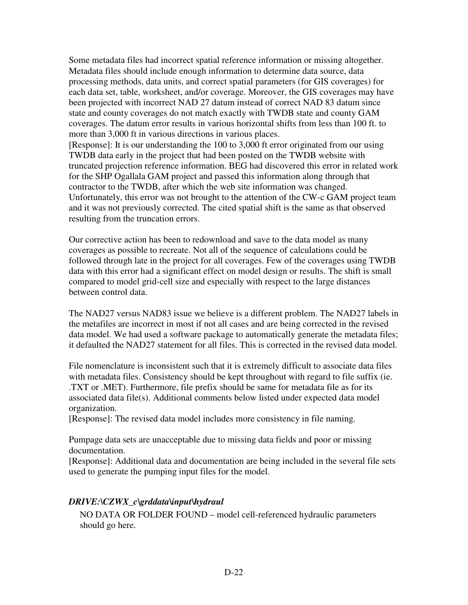Some metadata files had incorrect spatial reference information or missing altogether. Metadata files should include enough information to determine data source, data processing methods, data units, and correct spatial parameters (for GIS coverages) for each data set, table, worksheet, and/or coverage. Moreover, the GIS coverages may have been projected with incorrect NAD 27 datum instead of correct NAD 83 datum since state and county coverages do not match exactly with TWDB state and county GAM coverages. The datum error results in various horizontal shifts from less than 100 ft. to more than 3,000 ft in various directions in various places.

[Response]: It is our understanding the 100 to 3,000 ft error originated from our using TWDB data early in the project that had been posted on the TWDB website with truncated projection reference information. BEG had discovered this error in related work for the SHP Ogallala GAM project and passed this information along through that contractor to the TWDB, after which the web site information was changed. Unfortunately, this error was not brought to the attention of the CW-c GAM project team and it was not previously corrected. The cited spatial shift is the same as that observed resulting from the truncation errors.

Our corrective action has been to redownload and save to the data model as many coverages as possible to recreate. Not all of the sequence of calculations could be followed through late in the project for all coverages. Few of the coverages using TWDB data with this error had a significant effect on model design or results. The shift is small compared to model grid-cell size and especially with respect to the large distances between control data.

The NAD27 versus NAD83 issue we believe is a different problem. The NAD27 labels in the metafiles are incorrect in most if not all cases and are being corrected in the revised data model. We had used a software package to automatically generate the metadata files; it defaulted the NAD27 statement for all files. This is corrected in the revised data model.

File nomenclature is inconsistent such that it is extremely difficult to associate data files with metadata files. Consistency should be kept throughout with regard to file suffix (ie. .TXT or .MET). Furthermore, file prefix should be same for metadata file as for its associated data file(s). Additional comments below listed under expected data model organization.

[Response]: The revised data model includes more consistency in file naming.

Pumpage data sets are unacceptable due to missing data fields and poor or missing documentation.

[Response]: Additional data and documentation are being included in the several file sets used to generate the pumping input files for the model.

### *DRIVE:\CZWX\_c\grddata\input\hydraul*

NO DATA OR FOLDER FOUND – model cell-referenced hydraulic parameters should go here.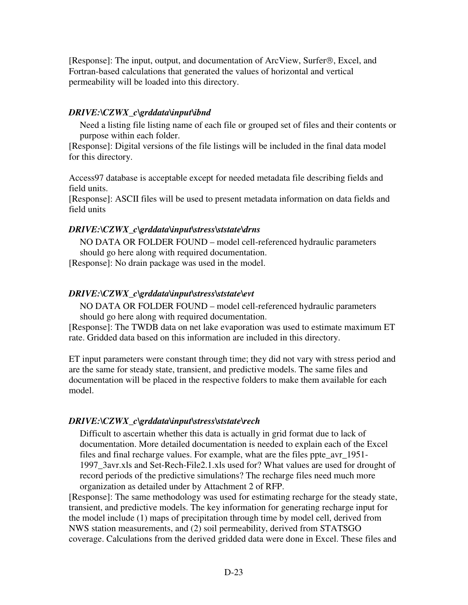[Response]: The input, output, and documentation of  $ArcView$ , Surfer $\Theta$ , Excel, and Fortran-based calculations that generated the values of horizontal and vertical permeability will be loaded into this directory.

#### *DRIVE:\CZWX\_c\grddata\input\ibnd*

Need a listing file listing name of each file or grouped set of files and their contents or purpose within each folder.

[Response]: Digital versions of the file listings will be included in the final data model for this directory.

Access97 database is acceptable except for needed metadata file describing fields and field units.

[Response]: ASCII files will be used to present metadata information on data fields and field units

# *DRIVE:\CZWX\_c\grddata\input\stress\ststate\drns*

NO DATA OR FOLDER FOUND – model cell-referenced hydraulic parameters should go here along with required documentation.

[Response]: No drain package was used in the model.

### *DRIVE:\CZWX\_c\grddata\input\stress\ststate\evt*

NO DATA OR FOLDER FOUND – model cell-referenced hydraulic parameters should go here along with required documentation.

[Response]: The TWDB data on net lake evaporation was used to estimate maximum ET rate. Gridded data based on this information are included in this directory.

ET input parameters were constant through time; they did not vary with stress period and are the same for steady state, transient, and predictive models. The same files and documentation will be placed in the respective folders to make them available for each model.

# *DRIVE:\CZWX\_c\grddata\input\stress\ststate\rech*

Difficult to ascertain whether this data is actually in grid format due to lack of documentation. More detailed documentation is needed to explain each of the Excel files and final recharge values. For example, what are the files ppte\_avr\_1951- 1997\_3avr.xls and Set-Rech-File2.1.xls used for? What values are used for drought of record periods of the predictive simulations? The recharge files need much more organization as detailed under by Attachment 2 of RFP.

[Response]: The same methodology was used for estimating recharge for the steady state, transient, and predictive models. The key information for generating recharge input for the model include (1) maps of precipitation through time by model cell, derived from NWS station measurements, and (2) soil permeability, derived from STATSGO coverage. Calculations from the derived gridded data were done in Excel. These files and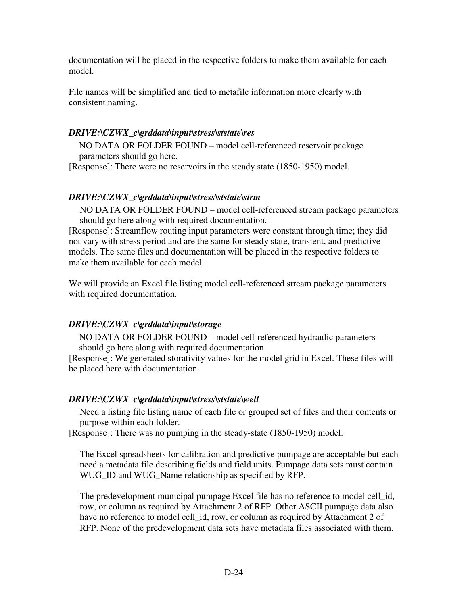documentation will be placed in the respective folders to make them available for each model.

File names will be simplified and tied to metafile information more clearly with consistent naming.

# *DRIVE:\CZWX\_c\grddata\input\stress\ststate\res*

NO DATA OR FOLDER FOUND – model cell-referenced reservoir package parameters should go here.

[Response]: There were no reservoirs in the steady state (1850-1950) model.

# *DRIVE:\CZWX\_c\grddata\input\stress\ststate\strm*

NO DATA OR FOLDER FOUND – model cell-referenced stream package parameters should go here along with required documentation.

[Response]: Streamflow routing input parameters were constant through time; they did not vary with stress period and are the same for steady state, transient, and predictive models. The same files and documentation will be placed in the respective folders to make them available for each model.

We will provide an Excel file listing model cell-referenced stream package parameters with required documentation.

# *DRIVE:\CZWX\_c\grddata\input\storage*

NO DATA OR FOLDER FOUND – model cell-referenced hydraulic parameters should go here along with required documentation.

[Response]: We generated storativity values for the model grid in Excel. These files will be placed here with documentation.

# *DRIVE:\CZWX\_c\grddata\input\stress\ststate\well*

Need a listing file listing name of each file or grouped set of files and their contents or purpose within each folder.

[Response]: There was no pumping in the steady-state (1850-1950) model.

The Excel spreadsheets for calibration and predictive pumpage are acceptable but each need a metadata file describing fields and field units. Pumpage data sets must contain WUG\_ID and WUG\_Name relationship as specified by RFP.

The predevelopment municipal pumpage Excel file has no reference to model cell\_id, row, or column as required by Attachment 2 of RFP. Other ASCII pumpage data also have no reference to model cell id, row, or column as required by Attachment 2 of RFP. None of the predevelopment data sets have metadata files associated with them.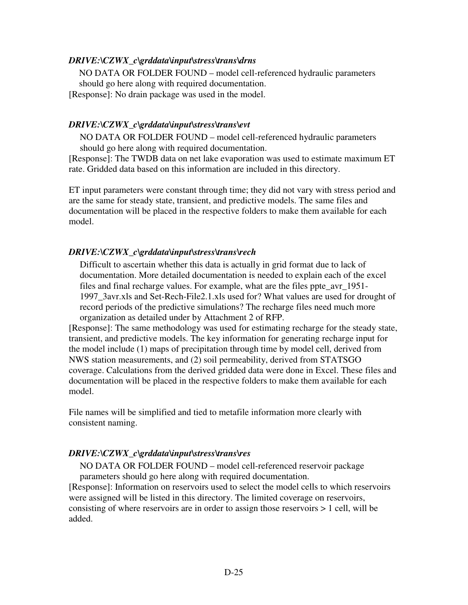### *DRIVE:\CZWX\_c\grddata\input\stress\trans\drns*

NO DATA OR FOLDER FOUND – model cell-referenced hydraulic parameters should go here along with required documentation.

[Response]: No drain package was used in the model.

#### *DRIVE:\CZWX\_c\grddata\input\stress\trans\evt*

NO DATA OR FOLDER FOUND – model cell-referenced hydraulic parameters should go here along with required documentation.

[Response]: The TWDB data on net lake evaporation was used to estimate maximum ET rate. Gridded data based on this information are included in this directory.

ET input parameters were constant through time; they did not vary with stress period and are the same for steady state, transient, and predictive models. The same files and documentation will be placed in the respective folders to make them available for each model.

#### *DRIVE:\CZWX\_c\grddata\input\stress\trans\rech*

Difficult to ascertain whether this data is actually in grid format due to lack of documentation. More detailed documentation is needed to explain each of the excel files and final recharge values. For example, what are the files ppte\_avr\_1951- 1997\_3avr.xls and Set-Rech-File2.1.xls used for? What values are used for drought of record periods of the predictive simulations? The recharge files need much more organization as detailed under by Attachment 2 of RFP.

[Response]: The same methodology was used for estimating recharge for the steady state, transient, and predictive models. The key information for generating recharge input for the model include (1) maps of precipitation through time by model cell, derived from NWS station measurements, and (2) soil permeability, derived from STATSGO coverage. Calculations from the derived gridded data were done in Excel. These files and documentation will be placed in the respective folders to make them available for each model.

File names will be simplified and tied to metafile information more clearly with consistent naming.

#### *DRIVE:\CZWX\_c\grddata\input\stress\trans\res*

NO DATA OR FOLDER FOUND – model cell-referenced reservoir package parameters should go here along with required documentation.

[Response]: Information on reservoirs used to select the model cells to which reservoirs were assigned will be listed in this directory. The limited coverage on reservoirs, consisting of where reservoirs are in order to assign those reservoirs > 1 cell, will be added.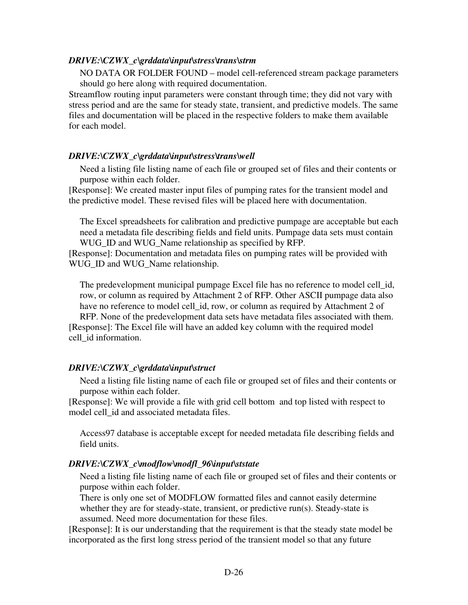#### *DRIVE:\CZWX\_c\grddata\input\stress\trans\strm*

NO DATA OR FOLDER FOUND – model cell-referenced stream package parameters should go here along with required documentation.

Streamflow routing input parameters were constant through time; they did not vary with stress period and are the same for steady state, transient, and predictive models. The same files and documentation will be placed in the respective folders to make them available for each model.

#### *DRIVE:\CZWX\_c\grddata\input\stress\trans\well*

Need a listing file listing name of each file or grouped set of files and their contents or purpose within each folder.

[Response]: We created master input files of pumping rates for the transient model and the predictive model. These revised files will be placed here with documentation.

The Excel spreadsheets for calibration and predictive pumpage are acceptable but each need a metadata file describing fields and field units. Pumpage data sets must contain WUG ID and WUG Name relationship as specified by RFP.

[Response]: Documentation and metadata files on pumping rates will be provided with WUG\_ID and WUG\_Name relationship.

The predevelopment municipal pumpage Excel file has no reference to model cell\_id, row, or column as required by Attachment 2 of RFP. Other ASCII pumpage data also have no reference to model cell\_id, row, or column as required by Attachment 2 of

RFP. None of the predevelopment data sets have metadata files associated with them. [Response]: The Excel file will have an added key column with the required model cell\_id information.

#### *DRIVE:\CZWX\_c\grddata\input\struct*

Need a listing file listing name of each file or grouped set of files and their contents or purpose within each folder.

[Response]: We will provide a file with grid cell bottom and top listed with respect to model cell\_id and associated metadata files.

Access97 database is acceptable except for needed metadata file describing fields and field units.

#### *DRIVE:\CZWX\_c\modflow\modfl\_96\input\ststate*

Need a listing file listing name of each file or grouped set of files and their contents or purpose within each folder.

There is only one set of MODFLOW formatted files and cannot easily determine whether they are for steady-state, transient, or predictive run(s). Steady-state is assumed. Need more documentation for these files.

[Response]: It is our understanding that the requirement is that the steady state model be incorporated as the first long stress period of the transient model so that any future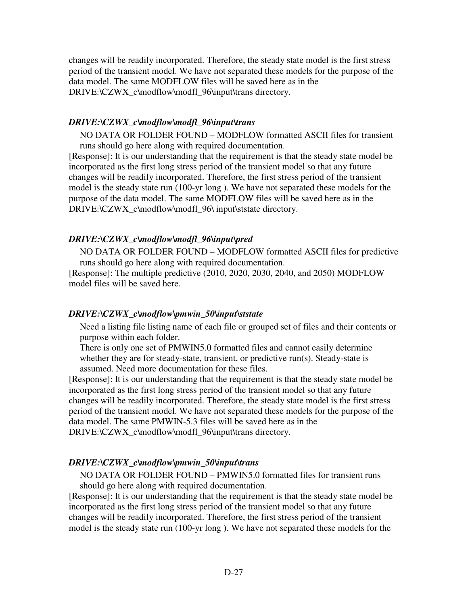changes will be readily incorporated. Therefore, the steady state model is the first stress period of the transient model. We have not separated these models for the purpose of the data model. The same MODFLOW files will be saved here as in the DRIVE:\CZWX\_c\modflow\modfl\_96\input\trans directory.

#### *DRIVE:\CZWX\_c\modflow\modfl\_96\input\trans*

NO DATA OR FOLDER FOUND – MODFLOW formatted ASCII files for transient runs should go here along with required documentation.

[Response]: It is our understanding that the requirement is that the steady state model be incorporated as the first long stress period of the transient model so that any future changes will be readily incorporated. Therefore, the first stress period of the transient model is the steady state run (100-yr long ). We have not separated these models for the purpose of the data model. The same MODFLOW files will be saved here as in the DRIVE:\CZWX\_c\modflow\modfl\_96\ input\ststate directory.

### *DRIVE:\CZWX\_c\modflow\modfl\_96\input\pred*

NO DATA OR FOLDER FOUND – MODFLOW formatted ASCII files for predictive runs should go here along with required documentation.

[Response]: The multiple predictive (2010, 2020, 2030, 2040, and 2050) MODFLOW model files will be saved here.

#### *DRIVE:\CZWX\_c\modflow\pmwin\_50\input\ststate*

Need a listing file listing name of each file or grouped set of files and their contents or purpose within each folder.

There is only one set of PMWIN5.0 formatted files and cannot easily determine whether they are for steady-state, transient, or predictive run(s). Steady-state is assumed. Need more documentation for these files.

[Response]: It is our understanding that the requirement is that the steady state model be incorporated as the first long stress period of the transient model so that any future changes will be readily incorporated. Therefore, the steady state model is the first stress period of the transient model. We have not separated these models for the purpose of the data model. The same PMWIN-5.3 files will be saved here as in the DRIVE:\CZWX\_c\modflow\modfl\_96\input\trans directory.

#### *DRIVE:\CZWX\_c\modflow\pmwin\_50\input\trans*

NO DATA OR FOLDER FOUND – PMWIN5.0 formatted files for transient runs should go here along with required documentation.

[Response]: It is our understanding that the requirement is that the steady state model be incorporated as the first long stress period of the transient model so that any future changes will be readily incorporated. Therefore, the first stress period of the transient model is the steady state run (100-yr long ). We have not separated these models for the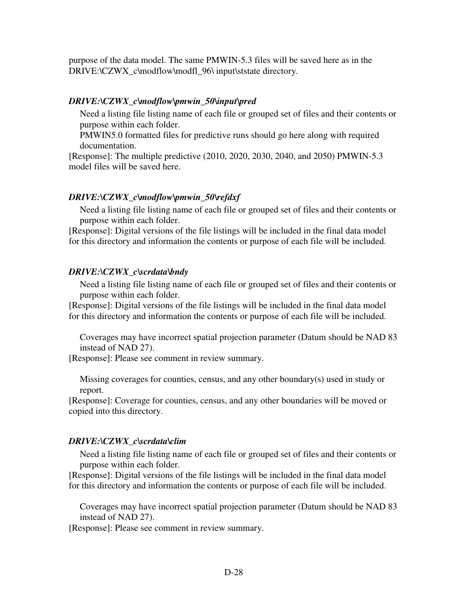purpose of the data model. The same PMWIN-5.3 files will be saved here as in the DRIVE:\CZWX\_c\modflow\modfl\_96\ input\ststate directory.

#### *DRIVE:\CZWX\_c\modflow\pmwin\_50\input\pred*

Need a listing file listing name of each file or grouped set of files and their contents or purpose within each folder.

PMWIN5.0 formatted files for predictive runs should go here along with required documentation.

[Response]: The multiple predictive (2010, 2020, 2030, 2040, and 2050) PMWIN-5.3 model files will be saved here.

#### *DRIVE:\CZWX\_c\modflow\pmwin\_50\refdxf*

Need a listing file listing name of each file or grouped set of files and their contents or purpose within each folder.

[Response]: Digital versions of the file listings will be included in the final data model for this directory and information the contents or purpose of each file will be included.

#### *DRIVE:\CZWX\_c\scrdata\bndy*

Need a listing file listing name of each file or grouped set of files and their contents or purpose within each folder.

[Response]: Digital versions of the file listings will be included in the final data model for this directory and information the contents or purpose of each file will be included.

Coverages may have incorrect spatial projection parameter (Datum should be NAD 83 instead of NAD 27).

[Response]: Please see comment in review summary.

Missing coverages for counties, census, and any other boundary(s) used in study or report.

[Response]: Coverage for counties, census, and any other boundaries will be moved or copied into this directory.

#### *DRIVE:\CZWX\_c\scrdata\clim*

Need a listing file listing name of each file or grouped set of files and their contents or purpose within each folder.

[Response]: Digital versions of the file listings will be included in the final data model for this directory and information the contents or purpose of each file will be included.

Coverages may have incorrect spatial projection parameter (Datum should be NAD 83 instead of NAD 27).

[Response]: Please see comment in review summary.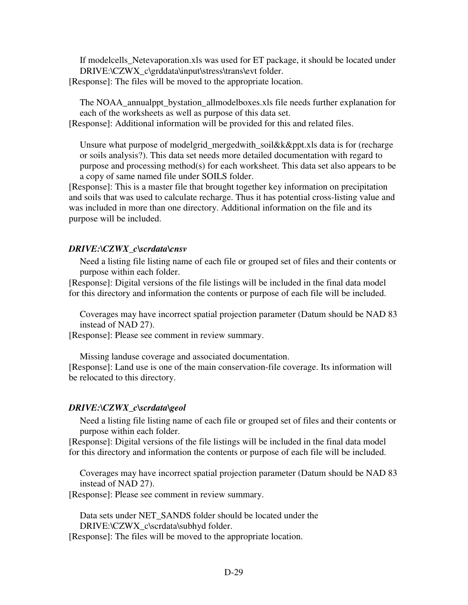If modelcells\_Netevaporation.xls was used for ET package, it should be located under DRIVE:\CZWX\_c\grddata\input\stress\trans\evt folder. [Response]: The files will be moved to the appropriate location.

The NOAA annualppt bystation allmodelboxes.xls file needs further explanation for each of the worksheets as well as purpose of this data set.

[Response]: Additional information will be provided for this and related files.

Unsure what purpose of modelgrid\_mergedwith\_soil&k&ppt.xls data is for (recharge or soils analysis?). This data set needs more detailed documentation with regard to purpose and processing method(s) for each worksheet. This data set also appears to be a copy of same named file under SOILS folder.

[Response]: This is a master file that brought together key information on precipitation and soils that was used to calculate recharge. Thus it has potential cross-listing value and was included in more than one directory. Additional information on the file and its purpose will be included.

#### *DRIVE:\CZWX\_c\scrdata\cnsv*

Need a listing file listing name of each file or grouped set of files and their contents or purpose within each folder.

[Response]: Digital versions of the file listings will be included in the final data model for this directory and information the contents or purpose of each file will be included.

Coverages may have incorrect spatial projection parameter (Datum should be NAD 83 instead of NAD 27).

[Response]: Please see comment in review summary.

Missing landuse coverage and associated documentation.

[Response]: Land use is one of the main conservation-file coverage. Its information will be relocated to this directory.

#### *DRIVE:\CZWX\_c\scrdata\geol*

Need a listing file listing name of each file or grouped set of files and their contents or purpose within each folder.

[Response]: Digital versions of the file listings will be included in the final data model for this directory and information the contents or purpose of each file will be included.

Coverages may have incorrect spatial projection parameter (Datum should be NAD 83 instead of NAD 27).

[Response]: Please see comment in review summary.

Data sets under NET\_SANDS folder should be located under the DRIVE:\CZWX\_c\scrdata\subhyd folder.

[Response]: The files will be moved to the appropriate location.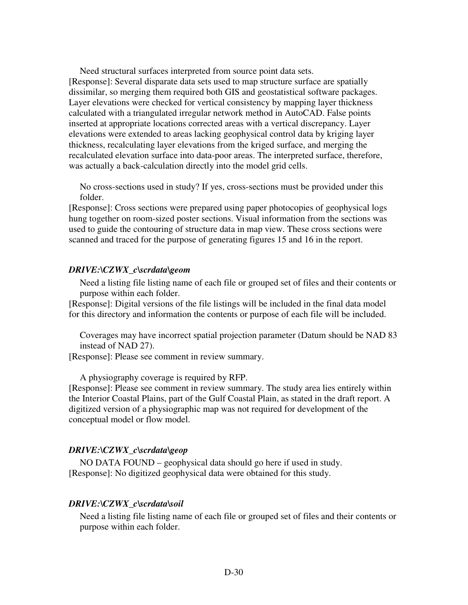Need structural surfaces interpreted from source point data sets. [Response]: Several disparate data sets used to map structure surface are spatially dissimilar, so merging them required both GIS and geostatistical software packages. Layer elevations were checked for vertical consistency by mapping layer thickness calculated with a triangulated irregular network method in AutoCAD. False points inserted at appropriate locations corrected areas with a vertical discrepancy. Layer elevations were extended to areas lacking geophysical control data by kriging layer thickness, recalculating layer elevations from the kriged surface, and merging the recalculated elevation surface into data-poor areas. The interpreted surface, therefore, was actually a back-calculation directly into the model grid cells.

No cross-sections used in study? If yes, cross-sections must be provided under this folder.

[Response]: Cross sections were prepared using paper photocopies of geophysical logs hung together on room-sized poster sections. Visual information from the sections was used to guide the contouring of structure data in map view. These cross sections were scanned and traced for the purpose of generating figures 15 and 16 in the report.

#### *DRIVE:\CZWX\_c\scrdata\geom*

Need a listing file listing name of each file or grouped set of files and their contents or purpose within each folder.

[Response]: Digital versions of the file listings will be included in the final data model for this directory and information the contents or purpose of each file will be included.

Coverages may have incorrect spatial projection parameter (Datum should be NAD 83 instead of NAD 27).

[Response]: Please see comment in review summary.

A physiography coverage is required by RFP.

[Response]: Please see comment in review summary. The study area lies entirely within the Interior Coastal Plains, part of the Gulf Coastal Plain, as stated in the draft report. A digitized version of a physiographic map was not required for development of the conceptual model or flow model.

#### *DRIVE:\CZWX\_c\scrdata\geop*

NO DATA FOUND – geophysical data should go here if used in study. [Response]: No digitized geophysical data were obtained for this study.

#### *DRIVE:\CZWX\_c\scrdata\soil*

Need a listing file listing name of each file or grouped set of files and their contents or purpose within each folder.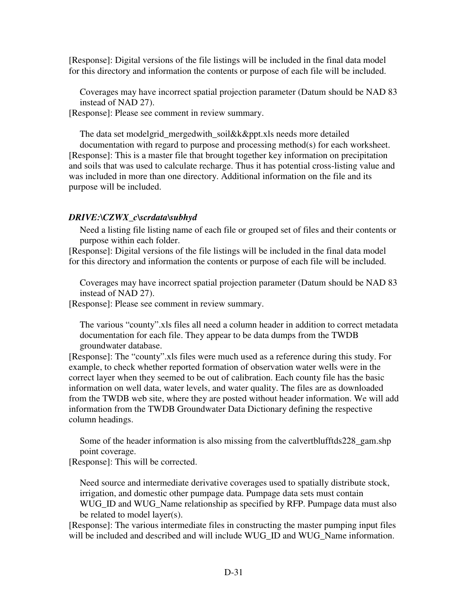[Response]: Digital versions of the file listings will be included in the final data model for this directory and information the contents or purpose of each file will be included.

Coverages may have incorrect spatial projection parameter (Datum should be NAD 83 instead of NAD 27).

[Response]: Please see comment in review summary.

The data set modelgrid\_mergedwith\_soil&k&ppt.xls needs more detailed

documentation with regard to purpose and processing method(s) for each worksheet. [Response]: This is a master file that brought together key information on precipitation and soils that was used to calculate recharge. Thus it has potential cross-listing value and was included in more than one directory. Additional information on the file and its purpose will be included.

### *DRIVE:\CZWX\_c\scrdata\subhyd*

Need a listing file listing name of each file or grouped set of files and their contents or purpose within each folder.

[Response]: Digital versions of the file listings will be included in the final data model for this directory and information the contents or purpose of each file will be included.

Coverages may have incorrect spatial projection parameter (Datum should be NAD 83 instead of NAD 27).

[Response]: Please see comment in review summary.

The various "county".xls files all need a column header in addition to correct metadata documentation for each file. They appear to be data dumps from the TWDB groundwater database.

[Response]: The "county".xls files were much used as a reference during this study. For example, to check whether reported formation of observation water wells were in the correct layer when they seemed to be out of calibration. Each county file has the basic information on well data, water levels, and water quality. The files are as downloaded from the TWDB web site, where they are posted without header information. We will add information from the TWDB Groundwater Data Dictionary defining the respective column headings.

Some of the header information is also missing from the calvertblufftds228\_gam.shp point coverage.

[Response]: This will be corrected.

Need source and intermediate derivative coverages used to spatially distribute stock, irrigation, and domestic other pumpage data. Pumpage data sets must contain WUG\_ID and WUG\_Name relationship as specified by RFP. Pumpage data must also be related to model layer(s).

[Response]: The various intermediate files in constructing the master pumping input files will be included and described and will include WUG\_ID and WUG\_Name information.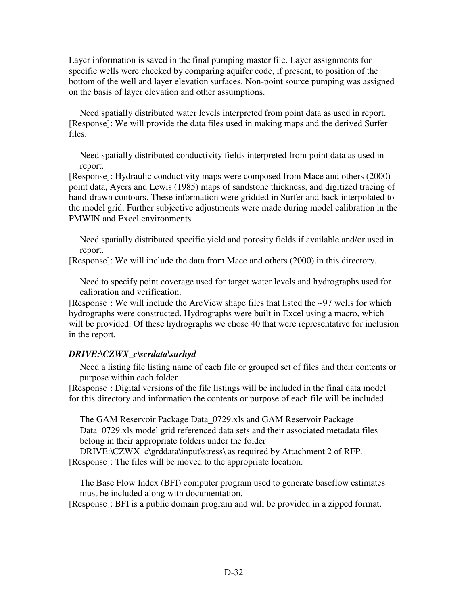Layer information is saved in the final pumping master file. Layer assignments for specific wells were checked by comparing aquifer code, if present, to position of the bottom of the well and layer elevation surfaces. Non-point source pumping was assigned on the basis of layer elevation and other assumptions.

Need spatially distributed water levels interpreted from point data as used in report. [Response]: We will provide the data files used in making maps and the derived Surfer files.

Need spatially distributed conductivity fields interpreted from point data as used in report.

[Response]: Hydraulic conductivity maps were composed from Mace and others (2000) point data, Ayers and Lewis (1985) maps of sandstone thickness, and digitized tracing of hand-drawn contours. These information were gridded in Surfer and back interpolated to the model grid. Further subjective adjustments were made during model calibration in the PMWIN and Excel environments.

Need spatially distributed specific yield and porosity fields if available and/or used in report.

[Response]: We will include the data from Mace and others (2000) in this directory.

Need to specify point coverage used for target water levels and hydrographs used for calibration and verification.

[Response]: We will include the ArcView shape files that listed the ~97 wells for which hydrographs were constructed. Hydrographs were built in Excel using a macro, which will be provided. Of these hydrographs we chose 40 that were representative for inclusion in the report.

# *DRIVE:\CZWX\_c\scrdata\surhyd*

Need a listing file listing name of each file or grouped set of files and their contents or purpose within each folder.

[Response]: Digital versions of the file listings will be included in the final data model for this directory and information the contents or purpose of each file will be included.

The GAM Reservoir Package Data\_0729.xls and GAM Reservoir Package Data\_0729.xls model grid referenced data sets and their associated metadata files belong in their appropriate folders under the folder

DRIVE:\CZWX\_c\grddata\input\stress\ as required by Attachment 2 of RFP. [Response]: The files will be moved to the appropriate location.

The Base Flow Index (BFI) computer program used to generate baseflow estimates must be included along with documentation.

[Response]: BFI is a public domain program and will be provided in a zipped format.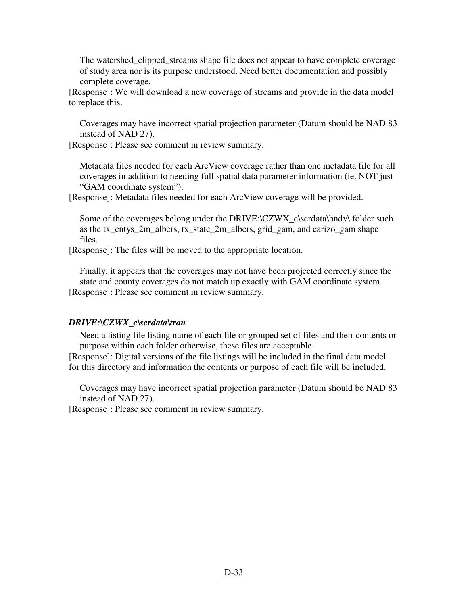The watershed\_clipped\_streams shape file does not appear to have complete coverage of study area nor is its purpose understood. Need better documentation and possibly complete coverage.

[Response]: We will download a new coverage of streams and provide in the data model to replace this.

Coverages may have incorrect spatial projection parameter (Datum should be NAD 83 instead of NAD 27).

[Response]: Please see comment in review summary.

Metadata files needed for each ArcView coverage rather than one metadata file for all coverages in addition to needing full spatial data parameter information (ie. NOT just "GAM coordinate system").

[Response]: Metadata files needed for each ArcView coverage will be provided.

Some of the coverages belong under the DRIVE:\CZWX\_c\scrdata\bndy\ folder such as the tx\_cntys\_2m\_albers, tx\_state\_2m\_albers, grid\_gam, and carizo\_gam shape files.

[Response]: The files will be moved to the appropriate location.

Finally, it appears that the coverages may not have been projected correctly since the state and county coverages do not match up exactly with GAM coordinate system. [Response]: Please see comment in review summary.

#### *DRIVE:\CZWX\_c\scrdata\tran*

Need a listing file listing name of each file or grouped set of files and their contents or purpose within each folder otherwise, these files are acceptable.

[Response]: Digital versions of the file listings will be included in the final data model for this directory and information the contents or purpose of each file will be included.

Coverages may have incorrect spatial projection parameter (Datum should be NAD 83 instead of NAD 27).

[Response]: Please see comment in review summary.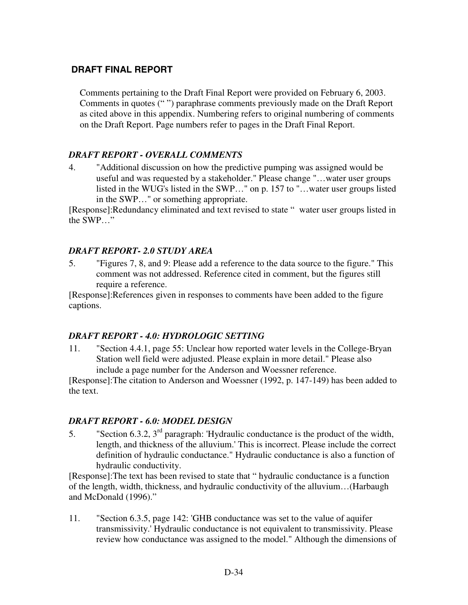# **DRAFT FINAL REPORT**

Comments pertaining to the Draft Final Report were provided on February 6, 2003. Comments in quotes (" ") paraphrase comments previously made on the Draft Report as cited above in this appendix. Numbering refers to original numbering of comments on the Draft Report. Page numbers refer to pages in the Draft Final Report.

# *DRAFT REPORT - OVERALL COMMENTS*

4. "Additional discussion on how the predictive pumping was assigned would be useful and was requested by a stakeholder." Please change "…water user groups listed in the WUG's listed in the SWP…" on p. 157 to "…water user groups listed in the SWP…" or something appropriate.

[Response]:Redundancy eliminated and text revised to state " water user groups listed in the SWP…"

#### *DRAFT REPORT- 2.0 STUDY AREA*

5. "Figures 7, 8, and 9: Please add a reference to the data source to the figure." This comment was not addressed. Reference cited in comment, but the figures still require a reference.

[Response]:References given in responses to comments have been added to the figure captions.

#### *DRAFT REPORT - 4.0: HYDROLOGIC SETTING*

11. "Section 4.4.1, page 55: Unclear how reported water levels in the College-Bryan Station well field were adjusted. Please explain in more detail." Please also include a page number for the Anderson and Woessner reference.

[Response]:The citation to Anderson and Woessner (1992, p. 147-149) has been added to the text.

#### *DRAFT REPORT - 6.0: MODEL DESIGN*

5. "Section 6.3.2,  $3<sup>rd</sup>$  paragraph: 'Hydraulic conductance is the product of the width, length, and thickness of the alluvium.' This is incorrect. Please include the correct definition of hydraulic conductance." Hydraulic conductance is also a function of hydraulic conductivity.

[Response]:The text has been revised to state that " hydraulic conductance is a function of the length, width, thickness, and hydraulic conductivity of the alluvium…(Harbaugh and McDonald (1996)."

11. "Section 6.3.5, page 142: 'GHB conductance was set to the value of aquifer transmissivity.' Hydraulic conductance is not equivalent to transmissivity. Please review how conductance was assigned to the model." Although the dimensions of